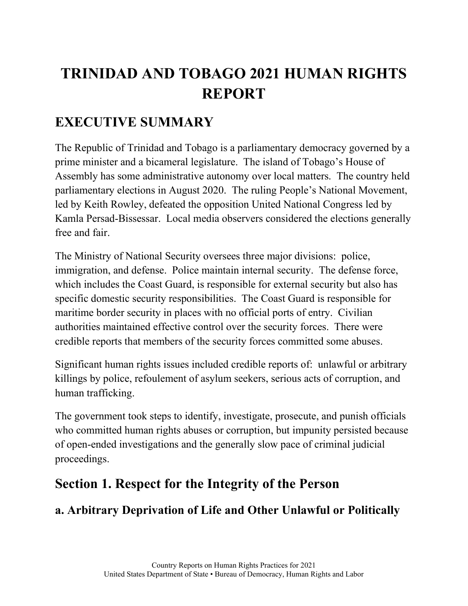# **TRINIDAD AND TOBAGO 2021 HUMAN RIGHTS REPORT**

## **EXECUTIVE SUMMARY**

The Republic of Trinidad and Tobago is a parliamentary democracy governed by a prime minister and a bicameral legislature. The island of Tobago's House of Assembly has some administrative autonomy over local matters. The country held parliamentary elections in August 2020. The ruling People's National Movement, led by Keith Rowley, defeated the opposition United National Congress led by Kamla Persad-Bissessar. Local media observers considered the elections generally free and fair.

The Ministry of National Security oversees three major divisions: police, immigration, and defense. Police maintain internal security. The defense force, which includes the Coast Guard, is responsible for external security but also has specific domestic security responsibilities. The Coast Guard is responsible for maritime border security in places with no official ports of entry. Civilian authorities maintained effective control over the security forces. There were credible reports that members of the security forces committed some abuses.

Significant human rights issues included credible reports of: unlawful or arbitrary killings by police, refoulement of asylum seekers, serious acts of corruption, and human trafficking.

The government took steps to identify, investigate, prosecute, and punish officials who committed human rights abuses or corruption, but impunity persisted because of open-ended investigations and the generally slow pace of criminal judicial proceedings.

## **Section 1. Respect for the Integrity of the Person**

## **a. Arbitrary Deprivation of Life and Other Unlawful or Politically**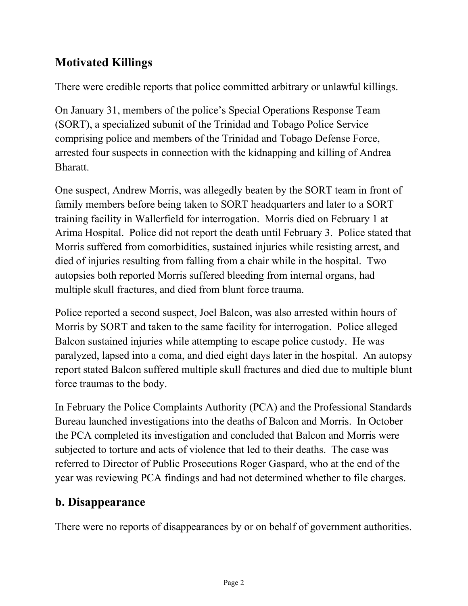### **Motivated Killings**

There were credible reports that police committed arbitrary or unlawful killings.

On January 31, members of the police's Special Operations Response Team (SORT), a specialized subunit of the Trinidad and Tobago Police Service comprising police and members of the Trinidad and Tobago Defense Force, arrested four suspects in connection with the kidnapping and killing of Andrea Bharatt.

One suspect, Andrew Morris, was allegedly beaten by the SORT team in front of family members before being taken to SORT headquarters and later to a SORT training facility in Wallerfield for interrogation. Morris died on February 1 at Arima Hospital. Police did not report the death until February 3. Police stated that Morris suffered from comorbidities, sustained injuries while resisting arrest, and died of injuries resulting from falling from a chair while in the hospital. Two autopsies both reported Morris suffered bleeding from internal organs, had multiple skull fractures, and died from blunt force trauma.

Police reported a second suspect, Joel Balcon, was also arrested within hours of Morris by SORT and taken to the same facility for interrogation. Police alleged Balcon sustained injuries while attempting to escape police custody. He was paralyzed, lapsed into a coma, and died eight days later in the hospital. An autopsy report stated Balcon suffered multiple skull fractures and died due to multiple blunt force traumas to the body.

In February the Police Complaints Authority (PCA) and the Professional Standards Bureau launched investigations into the deaths of Balcon and Morris. In October the PCA completed its investigation and concluded that Balcon and Morris were subjected to torture and acts of violence that led to their deaths. The case was referred to Director of Public Prosecutions Roger Gaspard, who at the end of the year was reviewing PCA findings and had not determined whether to file charges.

#### **b. Disappearance**

There were no reports of disappearances by or on behalf of government authorities.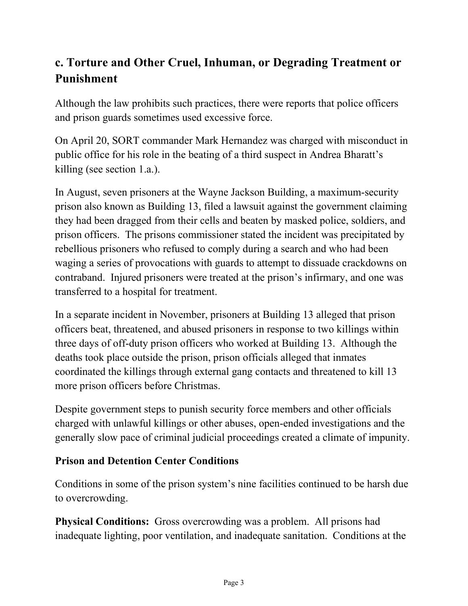### **c. Torture and Other Cruel, Inhuman, or Degrading Treatment or Punishment**

Although the law prohibits such practices, there were reports that police officers and prison guards sometimes used excessive force.

On April 20, SORT commander Mark Hernandez was charged with misconduct in public office for his role in the beating of a third suspect in Andrea Bharatt's killing (see section 1.a.).

In August, seven prisoners at the Wayne Jackson Building, a maximum-security prison also known as Building 13, filed a lawsuit against the government claiming they had been dragged from their cells and beaten by masked police, soldiers, and prison officers. The prisons commissioner stated the incident was precipitated by rebellious prisoners who refused to comply during a search and who had been waging a series of provocations with guards to attempt to dissuade crackdowns on contraband. Injured prisoners were treated at the prison's infirmary, and one was transferred to a hospital for treatment.

In a separate incident in November, prisoners at Building 13 alleged that prison officers beat, threatened, and abused prisoners in response to two killings within three days of off-duty prison officers who worked at Building 13. Although the deaths took place outside the prison, prison officials alleged that inmates coordinated the killings through external gang contacts and threatened to kill 13 more prison officers before Christmas.

Despite government steps to punish security force members and other officials charged with unlawful killings or other abuses, open-ended investigations and the generally slow pace of criminal judicial proceedings created a climate of impunity.

#### **Prison and Detention Center Conditions**

Conditions in some of the prison system's nine facilities continued to be harsh due to overcrowding.

**Physical Conditions:** Gross overcrowding was a problem. All prisons had inadequate lighting, poor ventilation, and inadequate sanitation. Conditions at the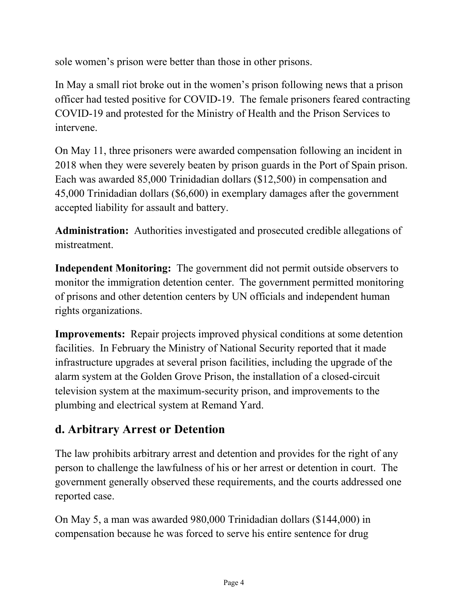sole women's prison were better than those in other prisons.

In May a small riot broke out in the women's prison following news that a prison officer had tested positive for COVID-19. The female prisoners feared contracting COVID-19 and protested for the Ministry of Health and the Prison Services to intervene.

On May 11, three prisoners were awarded compensation following an incident in 2018 when they were severely beaten by prison guards in the Port of Spain prison. Each was awarded 85,000 Trinidadian dollars (\$12,500) in compensation and 45,000 Trinidadian dollars (\$6,600) in exemplary damages after the government accepted liability for assault and battery.

**Administration:** Authorities investigated and prosecuted credible allegations of mistreatment.

**Independent Monitoring:** The government did not permit outside observers to monitor the immigration detention center. The government permitted monitoring of prisons and other detention centers by UN officials and independent human rights organizations.

**Improvements:** Repair projects improved physical conditions at some detention facilities. In February the Ministry of National Security reported that it made infrastructure upgrades at several prison facilities, including the upgrade of the alarm system at the Golden Grove Prison, the installation of a closed-circuit television system at the maximum-security prison, and improvements to the plumbing and electrical system at Remand Yard.

#### **d. Arbitrary Arrest or Detention**

The law prohibits arbitrary arrest and detention and provides for the right of any person to challenge the lawfulness of his or her arrest or detention in court. The government generally observed these requirements, and the courts addressed one reported case.

On May 5, a man was awarded 980,000 Trinidadian dollars (\$144,000) in compensation because he was forced to serve his entire sentence for drug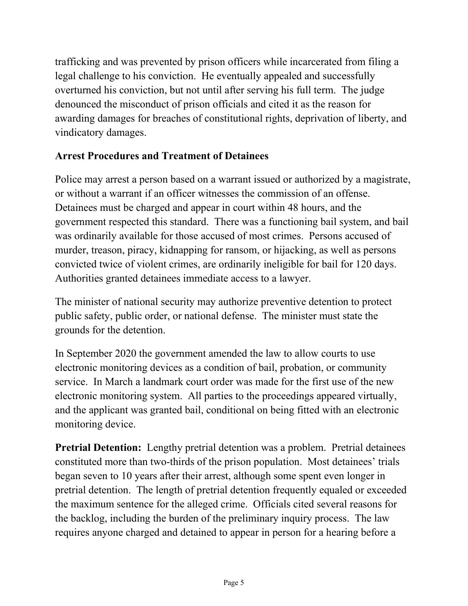trafficking and was prevented by prison officers while incarcerated from filing a legal challenge to his conviction. He eventually appealed and successfully overturned his conviction, but not until after serving his full term. The judge denounced the misconduct of prison officials and cited it as the reason for awarding damages for breaches of constitutional rights, deprivation of liberty, and vindicatory damages.

#### **Arrest Procedures and Treatment of Detainees**

Police may arrest a person based on a warrant issued or authorized by a magistrate, or without a warrant if an officer witnesses the commission of an offense. Detainees must be charged and appear in court within 48 hours, and the government respected this standard. There was a functioning bail system, and bail was ordinarily available for those accused of most crimes. Persons accused of murder, treason, piracy, kidnapping for ransom, or hijacking, as well as persons convicted twice of violent crimes, are ordinarily ineligible for bail for 120 days. Authorities granted detainees immediate access to a lawyer.

The minister of national security may authorize preventive detention to protect public safety, public order, or national defense. The minister must state the grounds for the detention.

In September 2020 the government amended the law to allow courts to use electronic monitoring devices as a condition of bail, probation, or community service. In March a landmark court order was made for the first use of the new electronic monitoring system. All parties to the proceedings appeared virtually, and the applicant was granted bail, conditional on being fitted with an electronic monitoring device.

**Pretrial Detention:** Lengthy pretrial detention was a problem. Pretrial detainees constituted more than two-thirds of the prison population. Most detainees' trials began seven to 10 years after their arrest, although some spent even longer in pretrial detention. The length of pretrial detention frequently equaled or exceeded the maximum sentence for the alleged crime. Officials cited several reasons for the backlog, including the burden of the preliminary inquiry process. The law requires anyone charged and detained to appear in person for a hearing before a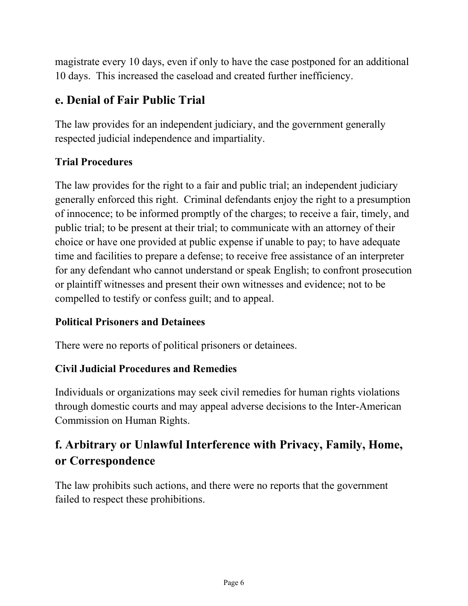magistrate every 10 days, even if only to have the case postponed for an additional 10 days. This increased the caseload and created further inefficiency.

### **e. Denial of Fair Public Trial**

The law provides for an independent judiciary, and the government generally respected judicial independence and impartiality.

#### **Trial Procedures**

The law provides for the right to a fair and public trial; an independent judiciary generally enforced this right. Criminal defendants enjoy the right to a presumption of innocence; to be informed promptly of the charges; to receive a fair, timely, and public trial; to be present at their trial; to communicate with an attorney of their choice or have one provided at public expense if unable to pay; to have adequate time and facilities to prepare a defense; to receive free assistance of an interpreter for any defendant who cannot understand or speak English; to confront prosecution or plaintiff witnesses and present their own witnesses and evidence; not to be compelled to testify or confess guilt; and to appeal.

#### **Political Prisoners and Detainees**

There were no reports of political prisoners or detainees.

#### **Civil Judicial Procedures and Remedies**

Individuals or organizations may seek civil remedies for human rights violations through domestic courts and may appeal adverse decisions to the Inter-American Commission on Human Rights.

### **f. Arbitrary or Unlawful Interference with Privacy, Family, Home, or Correspondence**

The law prohibits such actions, and there were no reports that the government failed to respect these prohibitions.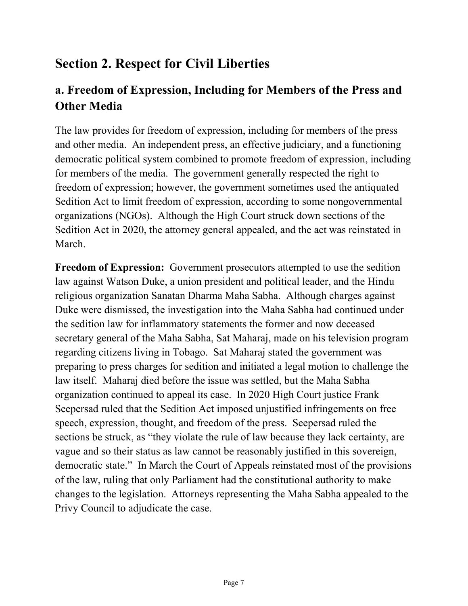## **Section 2. Respect for Civil Liberties**

### **a. Freedom of Expression, Including for Members of the Press and Other Media**

The law provides for freedom of expression, including for members of the press and other media. An independent press, an effective judiciary, and a functioning democratic political system combined to promote freedom of expression, including for members of the media. The government generally respected the right to freedom of expression; however, the government sometimes used the antiquated Sedition Act to limit freedom of expression, according to some nongovernmental organizations (NGOs). Although the High Court struck down sections of the Sedition Act in 2020, the attorney general appealed, and the act was reinstated in March.

**Freedom of Expression:** Government prosecutors attempted to use the sedition law against Watson Duke, a union president and political leader, and the Hindu religious organization Sanatan Dharma Maha Sabha. Although charges against Duke were dismissed, the investigation into the Maha Sabha had continued under the sedition law for inflammatory statements the former and now deceased secretary general of the Maha Sabha, Sat Maharaj, made on his television program regarding citizens living in Tobago. Sat Maharaj stated the government was preparing to press charges for sedition and initiated a legal motion to challenge the law itself. Maharaj died before the issue was settled, but the Maha Sabha organization continued to appeal its case. In 2020 High Court justice Frank Seepersad ruled that the Sedition Act imposed unjustified infringements on free speech, expression, thought, and freedom of the press. Seepersad ruled the sections be struck, as "they violate the rule of law because they lack certainty, are vague and so their status as law cannot be reasonably justified in this sovereign, democratic state." In March the Court of Appeals reinstated most of the provisions of the law, ruling that only Parliament had the constitutional authority to make changes to the legislation. Attorneys representing the Maha Sabha appealed to the Privy Council to adjudicate the case.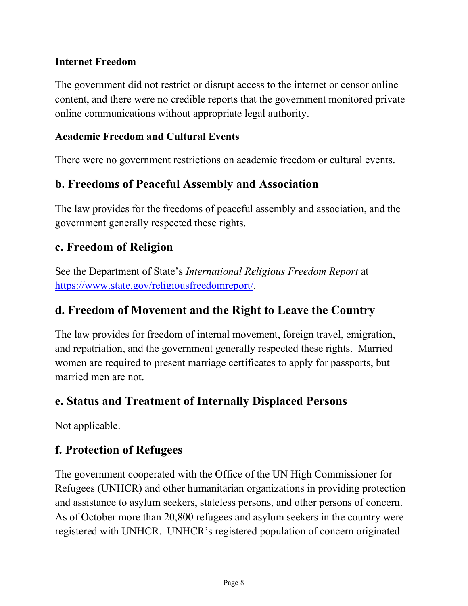#### **Internet Freedom**

The government did not restrict or disrupt access to the internet or censor online content, and there were no credible reports that the government monitored private online communications without appropriate legal authority.

#### **Academic Freedom and Cultural Events**

There were no government restrictions on academic freedom or cultural events.

#### **b. Freedoms of Peaceful Assembly and Association**

The law provides for the freedoms of peaceful assembly and association, and the government generally respected these rights.

#### **c. Freedom of Religion**

See the Department of State's *International Religious Freedom Report* at [https://www.state.gov/religiousfreedomreport/.](https://www.state.gov/religiousfreedomreport/)

#### **d. Freedom of Movement and the Right to Leave the Country**

The law provides for freedom of internal movement, foreign travel, emigration, and repatriation, and the government generally respected these rights. Married women are required to present marriage certificates to apply for passports, but married men are not.

#### **e. Status and Treatment of Internally Displaced Persons**

Not applicable.

#### **f. Protection of Refugees**

The government cooperated with the Office of the UN High Commissioner for Refugees (UNHCR) and other humanitarian organizations in providing protection and assistance to asylum seekers, stateless persons, and other persons of concern. As of October more than 20,800 refugees and asylum seekers in the country were registered with UNHCR. UNHCR's registered population of concern originated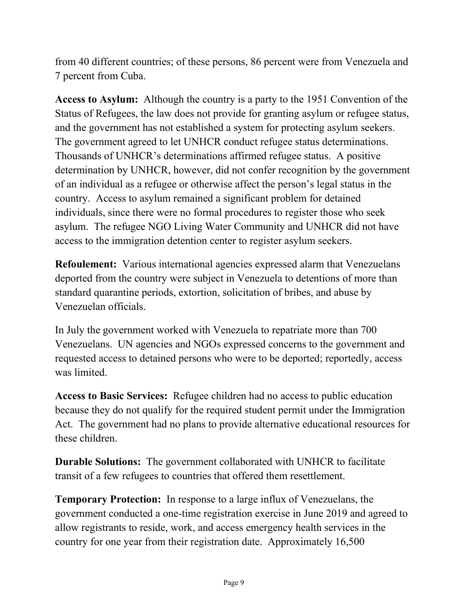from 40 different countries; of these persons, 86 percent were from Venezuela and 7 percent from Cuba.

**Access to Asylum:** Although the country is a party to the 1951 Convention of the Status of Refugees, the law does not provide for granting asylum or refugee status, and the government has not established a system for protecting asylum seekers. The government agreed to let UNHCR conduct refugee status determinations. Thousands of UNHCR's determinations affirmed refugee status. A positive determination by UNHCR, however, did not confer recognition by the government of an individual as a refugee or otherwise affect the person's legal status in the country. Access to asylum remained a significant problem for detained individuals, since there were no formal procedures to register those who seek asylum. The refugee NGO Living Water Community and UNHCR did not have access to the immigration detention center to register asylum seekers.

**Refoulement:** Various international agencies expressed alarm that Venezuelans deported from the country were subject in Venezuela to detentions of more than standard quarantine periods, extortion, solicitation of bribes, and abuse by Venezuelan officials.

In July the government worked with Venezuela to repatriate more than 700 Venezuelans. UN agencies and NGOs expressed concerns to the government and requested access to detained persons who were to be deported; reportedly, access was limited.

**Access to Basic Services:** Refugee children had no access to public education because they do not qualify for the required student permit under the Immigration Act. The government had no plans to provide alternative educational resources for these children.

**Durable Solutions:** The government collaborated with UNHCR to facilitate transit of a few refugees to countries that offered them resettlement.

**Temporary Protection:** In response to a large influx of Venezuelans, the government conducted a one-time registration exercise in June 2019 and agreed to allow registrants to reside, work, and access emergency health services in the country for one year from their registration date. Approximately 16,500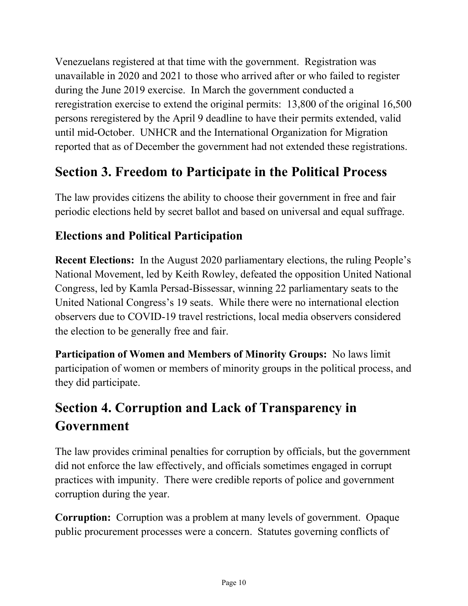Venezuelans registered at that time with the government. Registration was unavailable in 2020 and 2021 to those who arrived after or who failed to register during the June 2019 exercise. In March the government conducted a reregistration exercise to extend the original permits: 13,800 of the original 16,500 persons reregistered by the April 9 deadline to have their permits extended, valid until mid-October. UNHCR and the International Organization for Migration reported that as of December the government had not extended these registrations.

## **Section 3. Freedom to Participate in the Political Process**

The law provides citizens the ability to choose their government in free and fair periodic elections held by secret ballot and based on universal and equal suffrage.

#### **Elections and Political Participation**

**Recent Elections:** In the August 2020 parliamentary elections, the ruling People's National Movement, led by Keith Rowley, defeated the opposition United National Congress, led by Kamla Persad-Bissessar, winning 22 parliamentary seats to the United National Congress's 19 seats. While there were no international election observers due to COVID-19 travel restrictions, local media observers considered the election to be generally free and fair.

**Participation of Women and Members of Minority Groups:** No laws limit participation of women or members of minority groups in the political process, and they did participate.

## **Section 4. Corruption and Lack of Transparency in Government**

The law provides criminal penalties for corruption by officials, but the government did not enforce the law effectively, and officials sometimes engaged in corrupt practices with impunity. There were credible reports of police and government corruption during the year.

**Corruption:** Corruption was a problem at many levels of government. Opaque public procurement processes were a concern. Statutes governing conflicts of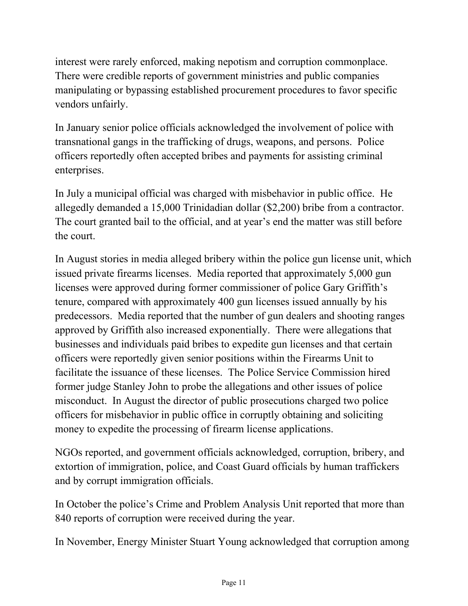interest were rarely enforced, making nepotism and corruption commonplace. There were credible reports of government ministries and public companies manipulating or bypassing established procurement procedures to favor specific vendors unfairly.

In January senior police officials acknowledged the involvement of police with transnational gangs in the trafficking of drugs, weapons, and persons. Police officers reportedly often accepted bribes and payments for assisting criminal enterprises.

In July a municipal official was charged with misbehavior in public office. He allegedly demanded a 15,000 Trinidadian dollar (\$2,200) bribe from a contractor. The court granted bail to the official, and at year's end the matter was still before the court.

In August stories in media alleged bribery within the police gun license unit, which issued private firearms licenses. Media reported that approximately 5,000 gun licenses were approved during former commissioner of police Gary Griffith's tenure, compared with approximately 400 gun licenses issued annually by his predecessors. Media reported that the number of gun dealers and shooting ranges approved by Griffith also increased exponentially. There were allegations that businesses and individuals paid bribes to expedite gun licenses and that certain officers were reportedly given senior positions within the Firearms Unit to facilitate the issuance of these licenses. The Police Service Commission hired former judge Stanley John to probe the allegations and other issues of police misconduct. In August the director of public prosecutions charged two police officers for misbehavior in public office in corruptly obtaining and soliciting money to expedite the processing of firearm license applications.

NGOs reported, and government officials acknowledged, corruption, bribery, and extortion of immigration, police, and Coast Guard officials by human traffickers and by corrupt immigration officials.

In October the police's Crime and Problem Analysis Unit reported that more than 840 reports of corruption were received during the year.

In November, Energy Minister Stuart Young acknowledged that corruption among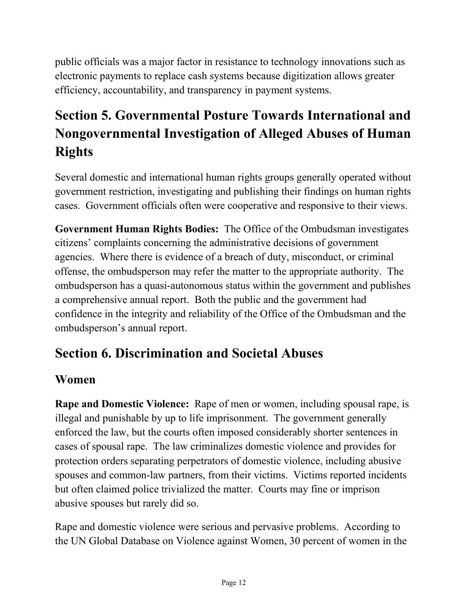public officials was a major factor in resistance to technology innovations such as electronic payments to replace cash systems because digitization allows greater efficiency, accountability, and transparency in payment systems.

# **Section 5. Governmental Posture Towards International and Nongovernmental Investigation of Alleged Abuses of Human Rights**

Several domestic and international human rights groups generally operated without government restriction, investigating and publishing their findings on human rights cases. Government officials often were cooperative and responsive to their views.

**Government Human Rights Bodies:** The Office of the Ombudsman investigates citizens' complaints concerning the administrative decisions of government agencies. Where there is evidence of a breach of duty, misconduct, or criminal offense, the ombudsperson may refer the matter to the appropriate authority. The ombudsperson has a quasi-autonomous status within the government and publishes a comprehensive annual report. Both the public and the government had confidence in the integrity and reliability of the Office of the Ombudsman and the ombudsperson's annual report.

## **Section 6. Discrimination and Societal Abuses**

### **Women**

**Rape and Domestic Violence:** Rape of men or women, including spousal rape, is illegal and punishable by up to life imprisonment. The government generally enforced the law, but the courts often imposed considerably shorter sentences in cases of spousal rape. The law criminalizes domestic violence and provides for protection orders separating perpetrators of domestic violence, including abusive spouses and common-law partners, from their victims. Victims reported incidents but often claimed police trivialized the matter. Courts may fine or imprison abusive spouses but rarely did so.

Rape and domestic violence were serious and pervasive problems. According to the UN Global Database on Violence against Women, 30 percent of women in the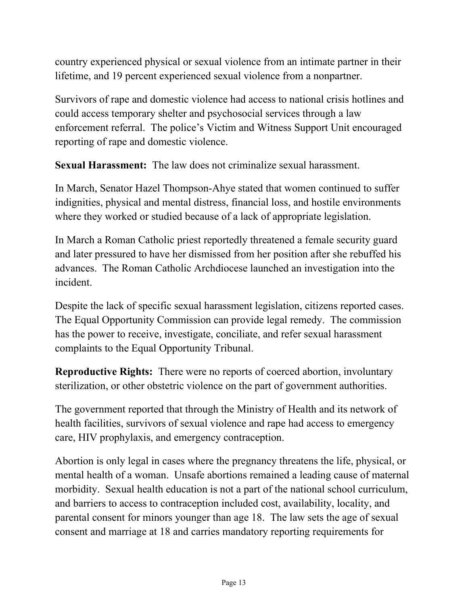country experienced physical or sexual violence from an intimate partner in their lifetime, and 19 percent experienced sexual violence from a nonpartner.

Survivors of rape and domestic violence had access to national crisis hotlines and could access temporary shelter and psychosocial services through a law enforcement referral. The police's Victim and Witness Support Unit encouraged reporting of rape and domestic violence.

**Sexual Harassment:** The law does not criminalize sexual harassment.

In March, Senator Hazel Thompson-Ahye stated that women continued to suffer indignities, physical and mental distress, financial loss, and hostile environments where they worked or studied because of a lack of appropriate legislation.

In March a Roman Catholic priest reportedly threatened a female security guard and later pressured to have her dismissed from her position after she rebuffed his advances. The Roman Catholic Archdiocese launched an investigation into the incident.

Despite the lack of specific sexual harassment legislation, citizens reported cases. The Equal Opportunity Commission can provide legal remedy. The commission has the power to receive, investigate, conciliate, and refer sexual harassment complaints to the Equal Opportunity Tribunal.

**Reproductive Rights:** There were no reports of coerced abortion, involuntary sterilization, or other obstetric violence on the part of government authorities.

The government reported that through the Ministry of Health and its network of health facilities, survivors of sexual violence and rape had access to emergency care, HIV prophylaxis, and emergency contraception.

Abortion is only legal in cases where the pregnancy threatens the life, physical, or mental health of a woman. Unsafe abortions remained a leading cause of maternal morbidity. Sexual health education is not a part of the national school curriculum, and barriers to access to contraception included cost, availability, locality, and parental consent for minors younger than age 18. The law sets the age of sexual consent and marriage at 18 and carries mandatory reporting requirements for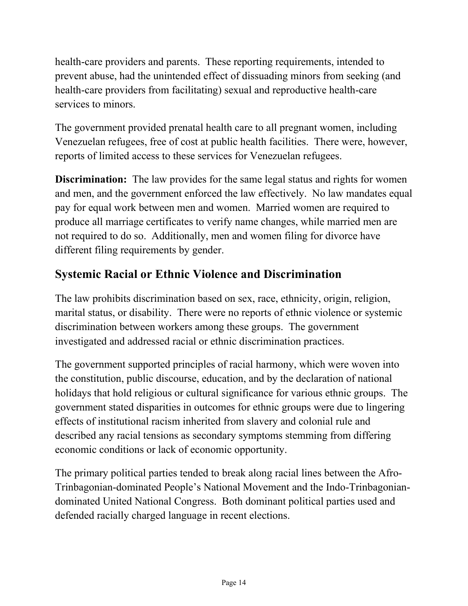health-care providers and parents. These reporting requirements, intended to prevent abuse, had the unintended effect of dissuading minors from seeking (and health-care providers from facilitating) sexual and reproductive health-care services to minors.

The government provided prenatal health care to all pregnant women, including Venezuelan refugees, free of cost at public health facilities. There were, however, reports of limited access to these services for Venezuelan refugees.

**Discrimination:** The law provides for the same legal status and rights for women and men, and the government enforced the law effectively. No law mandates equal pay for equal work between men and women. Married women are required to produce all marriage certificates to verify name changes, while married men are not required to do so. Additionally, men and women filing for divorce have different filing requirements by gender.

### **Systemic Racial or Ethnic Violence and Discrimination**

The law prohibits discrimination based on sex, race, ethnicity, origin, religion, marital status, or disability. There were no reports of ethnic violence or systemic discrimination between workers among these groups. The government investigated and addressed racial or ethnic discrimination practices.

The government supported principles of racial harmony, which were woven into the constitution, public discourse, education, and by the declaration of national holidays that hold religious or cultural significance for various ethnic groups. The government stated disparities in outcomes for ethnic groups were due to lingering effects of institutional racism inherited from slavery and colonial rule and described any racial tensions as secondary symptoms stemming from differing economic conditions or lack of economic opportunity.

The primary political parties tended to break along racial lines between the Afro-Trinbagonian-dominated People's National Movement and the Indo-Trinbagoniandominated United National Congress. Both dominant political parties used and defended racially charged language in recent elections.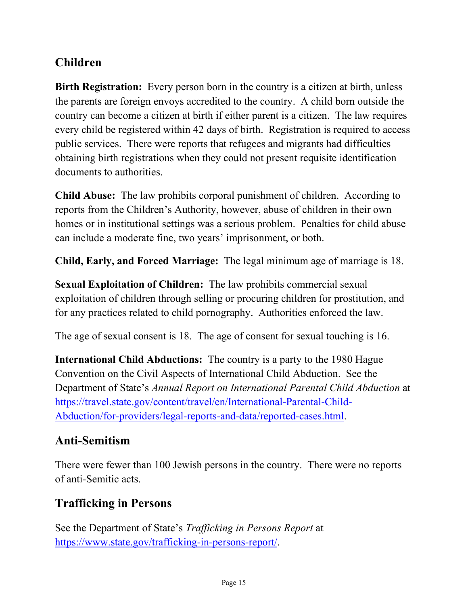### **Children**

**Birth Registration:** Every person born in the country is a citizen at birth, unless the parents are foreign envoys accredited to the country. A child born outside the country can become a citizen at birth if either parent is a citizen. The law requires every child be registered within 42 days of birth. Registration is required to access public services. There were reports that refugees and migrants had difficulties obtaining birth registrations when they could not present requisite identification documents to authorities.

**Child Abuse:** The law prohibits corporal punishment of children. According to reports from the Children's Authority, however, abuse of children in their own homes or in institutional settings was a serious problem. Penalties for child abuse can include a moderate fine, two years' imprisonment, or both.

**Child, Early, and Forced Marriage:** The legal minimum age of marriage is 18.

**Sexual Exploitation of Children:** The law prohibits commercial sexual exploitation of children through selling or procuring children for prostitution, and for any practices related to child pornography. Authorities enforced the law.

The age of sexual consent is 18. The age of consent for sexual touching is 16.

**International Child Abductions:** The country is a party to the 1980 Hague Convention on the Civil Aspects of International Child Abduction. See the Department of State's *Annual Report on International Parental Child Abduction* at [https://travel.state.gov/content/travel/en/International-Parental-Child-](https://travel.state.gov/content/travel/en/International-Parental-Child-Abduction/for-providers/legal-reports-and-data/reported-cases.html)[Abduction/for-providers/legal-reports-and-data/reported-cases.html.](https://travel.state.gov/content/travel/en/International-Parental-Child-Abduction/for-providers/legal-reports-and-data/reported-cases.html)

#### **Anti-Semitism**

There were fewer than 100 Jewish persons in the country. There were no reports of anti-Semitic acts.

#### **Trafficking in Persons**

See the Department of State's *Trafficking in Persons Report* at [https://www.state.gov/trafficking-in-persons-report/.](https://www.state.gov/trafficking-in-persons-report/)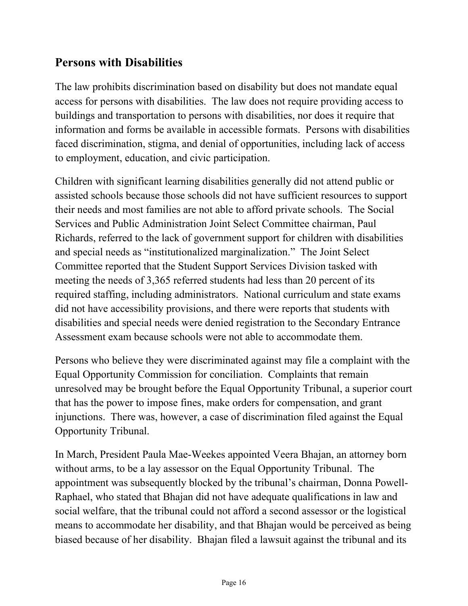#### **Persons with Disabilities**

The law prohibits discrimination based on disability but does not mandate equal access for persons with disabilities. The law does not require providing access to buildings and transportation to persons with disabilities, nor does it require that information and forms be available in accessible formats. Persons with disabilities faced discrimination, stigma, and denial of opportunities, including lack of access to employment, education, and civic participation.

Children with significant learning disabilities generally did not attend public or assisted schools because those schools did not have sufficient resources to support their needs and most families are not able to afford private schools. The Social Services and Public Administration Joint Select Committee chairman, Paul Richards, referred to the lack of government support for children with disabilities and special needs as "institutionalized marginalization." The Joint Select Committee reported that the Student Support Services Division tasked with meeting the needs of 3,365 referred students had less than 20 percent of its required staffing, including administrators. National curriculum and state exams did not have accessibility provisions, and there were reports that students with disabilities and special needs were denied registration to the Secondary Entrance Assessment exam because schools were not able to accommodate them.

Persons who believe they were discriminated against may file a complaint with the Equal Opportunity Commission for conciliation. Complaints that remain unresolved may be brought before the Equal Opportunity Tribunal, a superior court that has the power to impose fines, make orders for compensation, and grant injunctions. There was, however, a case of discrimination filed against the Equal Opportunity Tribunal.

In March, President Paula Mae-Weekes appointed Veera Bhajan, an attorney born without arms, to be a lay assessor on the Equal Opportunity Tribunal. The appointment was subsequently blocked by the tribunal's chairman, Donna Powell-Raphael, who stated that Bhajan did not have adequate qualifications in law and social welfare, that the tribunal could not afford a second assessor or the logistical means to accommodate her disability, and that Bhajan would be perceived as being biased because of her disability. Bhajan filed a lawsuit against the tribunal and its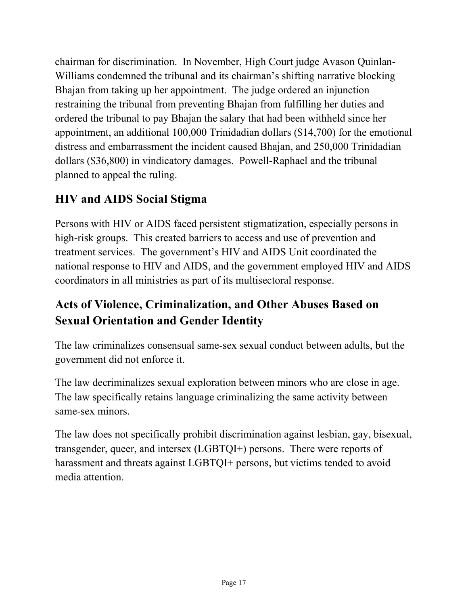chairman for discrimination. In November, High Court judge Avason Quinlan-Williams condemned the tribunal and its chairman's shifting narrative blocking Bhajan from taking up her appointment. The judge ordered an injunction restraining the tribunal from preventing Bhajan from fulfilling her duties and ordered the tribunal to pay Bhajan the salary that had been withheld since her appointment, an additional 100,000 Trinidadian dollars (\$14,700) for the emotional distress and embarrassment the incident caused Bhajan, and 250,000 Trinidadian dollars (\$36,800) in vindicatory damages. Powell-Raphael and the tribunal planned to appeal the ruling.

### **HIV and AIDS Social Stigma**

Persons with HIV or AIDS faced persistent stigmatization, especially persons in high-risk groups. This created barriers to access and use of prevention and treatment services. The government's HIV and AIDS Unit coordinated the national response to HIV and AIDS, and the government employed HIV and AIDS coordinators in all ministries as part of its multisectoral response.

### **Acts of Violence, Criminalization, and Other Abuses Based on Sexual Orientation and Gender Identity**

The law criminalizes consensual same-sex sexual conduct between adults, but the government did not enforce it.

The law decriminalizes sexual exploration between minors who are close in age. The law specifically retains language criminalizing the same activity between same-sex minors.

The law does not specifically prohibit discrimination against lesbian, gay, bisexual, transgender, queer, and intersex (LGBTQI+) persons. There were reports of harassment and threats against LGBTQI+ persons, but victims tended to avoid media attention.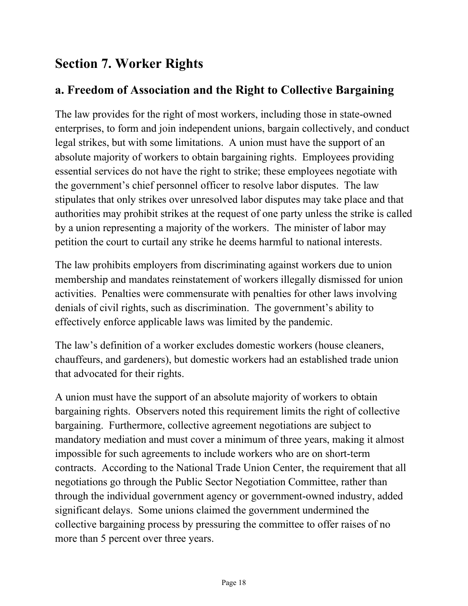## **Section 7. Worker Rights**

#### **a. Freedom of Association and the Right to Collective Bargaining**

The law provides for the right of most workers, including those in state-owned enterprises, to form and join independent unions, bargain collectively, and conduct legal strikes, but with some limitations. A union must have the support of an absolute majority of workers to obtain bargaining rights. Employees providing essential services do not have the right to strike; these employees negotiate with the government's chief personnel officer to resolve labor disputes. The law stipulates that only strikes over unresolved labor disputes may take place and that authorities may prohibit strikes at the request of one party unless the strike is called by a union representing a majority of the workers. The minister of labor may petition the court to curtail any strike he deems harmful to national interests.

The law prohibits employers from discriminating against workers due to union membership and mandates reinstatement of workers illegally dismissed for union activities. Penalties were commensurate with penalties for other laws involving denials of civil rights, such as discrimination. The government's ability to effectively enforce applicable laws was limited by the pandemic.

The law's definition of a worker excludes domestic workers (house cleaners, chauffeurs, and gardeners), but domestic workers had an established trade union that advocated for their rights.

A union must have the support of an absolute majority of workers to obtain bargaining rights. Observers noted this requirement limits the right of collective bargaining. Furthermore, collective agreement negotiations are subject to mandatory mediation and must cover a minimum of three years, making it almost impossible for such agreements to include workers who are on short-term contracts. According to the National Trade Union Center, the requirement that all negotiations go through the Public Sector Negotiation Committee, rather than through the individual government agency or government-owned industry, added significant delays. Some unions claimed the government undermined the collective bargaining process by pressuring the committee to offer raises of no more than 5 percent over three years.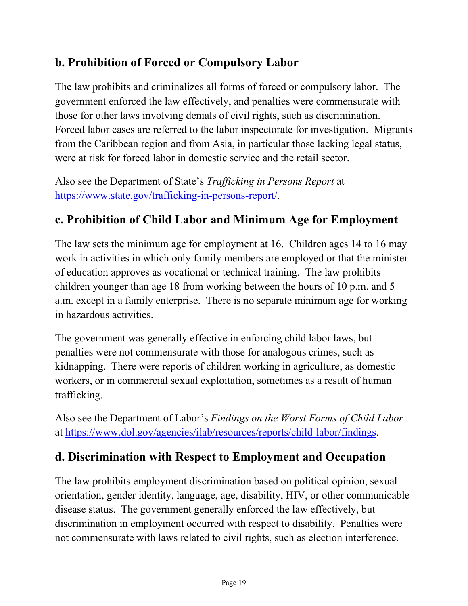#### **b. Prohibition of Forced or Compulsory Labor**

The law prohibits and criminalizes all forms of forced or compulsory labor. The government enforced the law effectively, and penalties were commensurate with those for other laws involving denials of civil rights, such as discrimination. Forced labor cases are referred to the labor inspectorate for investigation. Migrants from the Caribbean region and from Asia, in particular those lacking legal status, were at risk for forced labor in domestic service and the retail sector.

Also see the Department of State's *Trafficking in Persons Report* at [https://www.state.gov/trafficking-in-persons-report/.](https://www.state.gov/trafficking-in-persons-report/)

### **c. Prohibition of Child Labor and Minimum Age for Employment**

The law sets the minimum age for employment at 16. Children ages 14 to 16 may work in activities in which only family members are employed or that the minister of education approves as vocational or technical training. The law prohibits children younger than age 18 from working between the hours of 10 p.m. and 5 a.m. except in a family enterprise. There is no separate minimum age for working in hazardous activities.

The government was generally effective in enforcing child labor laws, but penalties were not commensurate with those for analogous crimes, such as kidnapping. There were reports of children working in agriculture, as domestic workers, or in commercial sexual exploitation, sometimes as a result of human trafficking.

Also see the Department of Labor's *Findings on the Worst Forms of Child Labor* at [https://www.dol.gov/agencies/ilab/resources/reports/child-labor/findings.](https://www.dol.gov/agencies/ilab/resources/reports/child-labor/findings/)

#### **d. Discrimination with Respect to Employment and Occupation**

The law prohibits employment discrimination based on political opinion, sexual orientation, gender identity, language, age, disability, HIV, or other communicable disease status. The government generally enforced the law effectively, but discrimination in employment occurred with respect to disability. Penalties were not commensurate with laws related to civil rights, such as election interference.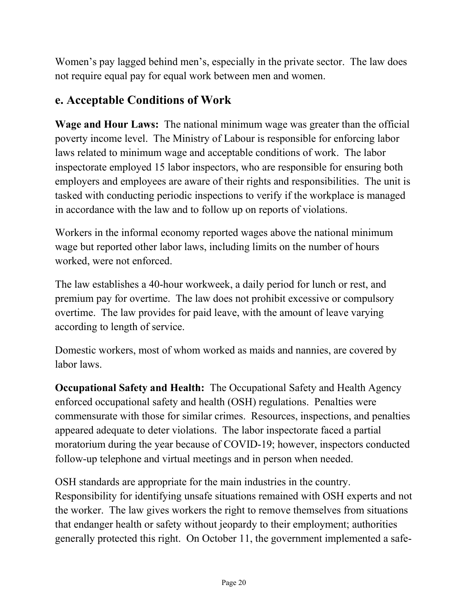Women's pay lagged behind men's, especially in the private sector. The law does not require equal pay for equal work between men and women.

#### **e. Acceptable Conditions of Work**

**Wage and Hour Laws:** The national minimum wage was greater than the official poverty income level. The Ministry of Labour is responsible for enforcing labor laws related to minimum wage and acceptable conditions of work. The labor inspectorate employed 15 labor inspectors, who are responsible for ensuring both employers and employees are aware of their rights and responsibilities. The unit is tasked with conducting periodic inspections to verify if the workplace is managed in accordance with the law and to follow up on reports of violations.

Workers in the informal economy reported wages above the national minimum wage but reported other labor laws, including limits on the number of hours worked, were not enforced.

The law establishes a 40-hour workweek, a daily period for lunch or rest, and premium pay for overtime. The law does not prohibit excessive or compulsory overtime. The law provides for paid leave, with the amount of leave varying according to length of service.

Domestic workers, most of whom worked as maids and nannies, are covered by labor laws.

**Occupational Safety and Health:** The Occupational Safety and Health Agency enforced occupational safety and health (OSH) regulations. Penalties were commensurate with those for similar crimes. Resources, inspections, and penalties appeared adequate to deter violations. The labor inspectorate faced a partial moratorium during the year because of COVID-19; however, inspectors conducted follow-up telephone and virtual meetings and in person when needed.

OSH standards are appropriate for the main industries in the country. Responsibility for identifying unsafe situations remained with OSH experts and not the worker. The law gives workers the right to remove themselves from situations that endanger health or safety without jeopardy to their employment; authorities generally protected this right. On October 11, the government implemented a safe-